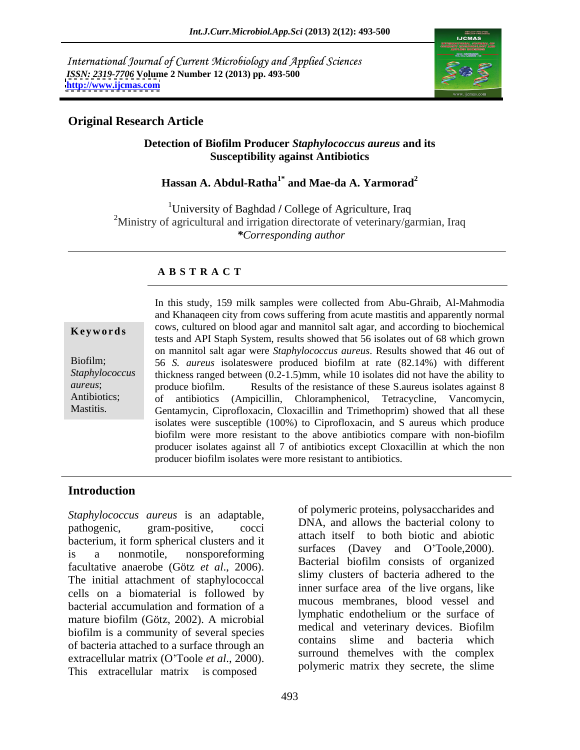International Journal of Current Microbiology and Applied Sciences *ISSN: 2319-7706* **Volume 2 Number 12 (2013) pp. 493-500 <http://www.ijcmas.com>**



## **Original Research Article**

### **Detection of Biofilm Producer** *Staphylococcus aureus* **and its Susceptibility against Antibiotics**

# **Hassan A. Abdul-Ratha1\* and Mae-da A. Yarmorad<sup>2</sup>**

<sup>1</sup>University of Baghdad / College of Agriculture, Iraq <sup>2</sup>Ministry of agricultural and irrigation directorate of veterinary/garmian, Iraq *\*Corresponding author* 

### **A B S T R A C T**

| Keywords |  |  |  |
|----------|--|--|--|
|----------|--|--|--|

**Keywords** cows, cultured on blood agar and mannitol salt agar, and according to biochemical Biofilm; 56 *S. aureus* isolateswere produced biofilm at rate (82.14%) with different Staphylococcus thickness ranged between  $(0.2$ -1.5)mm, while 10 isolates did not have the ability to *aureus*; produce biofilm. Results of the resistance of these S.aureus isolates against 8 Antibiotics; of antibiotics (Ampicillin, Chloramphenicol, Tetracycline, Vancomycin, Mastitis. Gentamycin, Ciprofloxacin, Cloxacillin and Trimethoprim) showed that all these In this study, 159 milk samples were collected from Abu-Ghraib, Al-Mahmodia and Khanaqeen city from cows suffering from acute mastitis and apparently normal tests and API Staph System, results showed that 56 isolates out of 68 which grown on mannitol salt agar were *Staphylococcus aureus*. Results showed that 46 out of isolates were susceptible (100%) to Ciprofloxacin, and S aureus which produce biofilm were more resistant to the above antibiotics compare with non-biofilm producer isolates against all 7 of antibiotics except Cloxacillin at which the non producer biofilm isolates were more resistant to antibiotics.

## **Introduction**

*Staphylococcus aureus* is an adaptable, pathogenic, gram-positive, cocci DINA, and anows the bacterial colony to bacterium, it form spherical clusters and it is a nonmotile, nonsporeforming  $\sum_{n=1}^{\infty}$  (Davey and O Toole, 2000). facultative anaerobe (Götz *et al*., 2006). The initial attachment of staphylococcal cells on a biomaterial is followed by bacterial accumulation and formation of a mature biofilm (Götz, 2002). A microbial end in the surface of medical and veterinary devices. Biofilm biofilm is a community of several species<br>contains slime and bacteria which of bacteria attached to a surface through an extracellular matrix (O'Toole *et al.*, 2000). Surfound themelives with the complex polymeric matrix they secrete, the slime

of polymeric proteins, polysaccharides and DNA, and allows the bacterial colony to attach itself to both biotic and abiotic surfaces (Davey and O'Toole, 2000). Bacterial biofilm consists of organized slimy clusters of bacteria adhered to the inner surface area of the live organs, like mucous membranes, blood vessel and lymphatic endothelium or the surface of medical and veterinary devices. Biofilm contains slime and bacteria which surround themelves with the complex polymeric matrix they secrete, the slime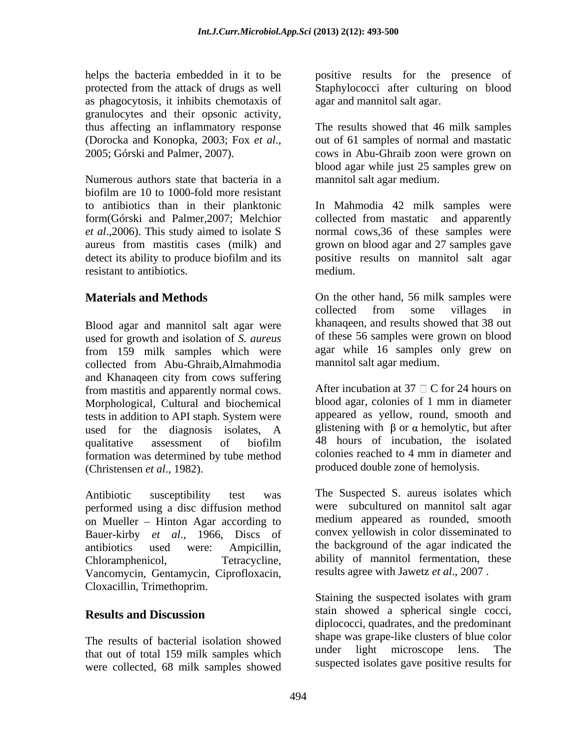as phagocytosis, it inhibits chemotaxis of granulocytes and their opsonic activity, thus affecting an inflammatory response The results showed that 46 milk samples (Dorocka and Konopka, 2003; Fox *et al*., 2005; Górski and Palmer, 2007). cows in Abu-Ghraib zoon were grown on

Numerous authors state that bacteria in a biofilm are 10 to 1000-fold more resistant to antibiotics than in their planktonic In Mahmodia 42 milk samples were form(Górski and Palmer,2007; Melchior collected from mastatic and apparently *et al*.,2006). This study aimed to isolate S normal cows,36 of these samples were aureus from mastitis cases (milk) and grown on blood agar and 27 samples gave detect its ability to produce biofilm and its spositive results on mannitol salt agar resistant to antibiotics. The medium.

Blood agar and mannitol salt agar were used for growth and isolation of *S. aureus* from 159 milk samples which were collected from Abu-Ghraib,Almahmodia and Khanaqeen city from cows suffering from mastitis and apparently normal cows. Morphological, Cultural and biochemical tests in addition to API staph. System were used for the diagnosis isolates, A qualitative assessment of biofilm 48 hours of incubation, the isolated formation was determined by tube method (Christensen *et al*., 1982). produced double zone of hemolysis.

performed using a disc diffusion method on Mueller – Hinton Agar according to Bauer-kirby *et al*., 1966, Discs of antibiotics used were: Ampicillin, the background of the agar indicated the Chloramphenicol, Tetracycline, ability of mannitol fermentation, these Vancomycin, Gentamycin, Ciprofloxacin, Cloxacillin, Trimethoprim.

The results of bacterial isolation showed<br>that out of total 150 mills complex which the under light microscope lens. The that out of total 159 milk samples which were collected, 68 milk samples showed

helps the bacteria embedded in it to be positive results for the presence of protected from the attack of drugs as well Staphylococci after culturing on blood

agar and mannitol salt agar.<br>The results showed that 46 milk samples out of 61 samples of normal and mastatic blood agar while just 25 samples grew on mannitol salt agar medium.

positive results on mannitol salt agar medium.

**Materials and Methods** On the other hand, 56 milk samples were collected from some villages in khanaqeen, and results showed that 38 out of these 56 samples were grown on blood agar while 16 samples only grew on mannitol salt agar medium.

> After incubation at 37  $\Box$  C for 24 hours on blood agar, colonies of 1 mm in diameter appeared as yellow, round, smooth and glistening with  $\beta$  or  $\alpha$  hemolytic, but after 48 hours of incubation, the isolated colonies reached to 4 mm in diameter and

Antibiotic susceptibility test was The Suspected S. aureus isolates which were subcultured on mannitol salt agar medium appeared as rounded, smooth convex yellowish in color disseminated to results agree with Jawetz *et al*., 2007 .

**Results and Discussion** Stain showed a spherical single cocci, Staining the suspected isolates with gram stain showed a spherical single cocci, diplococci, quadrates, and the predominant shape was grape-like clusters of blue color light microscope lens. suspected isolates gave positive results for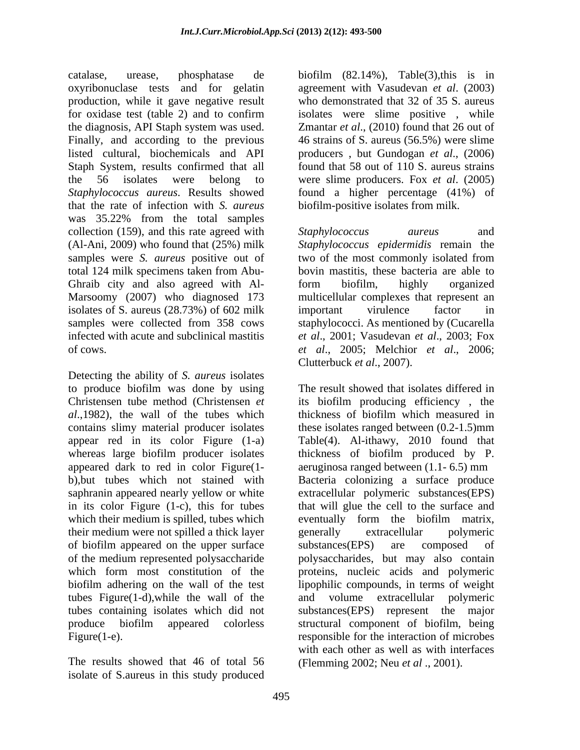catalase, urease, phosphatase de biofilm (82.14%), Table(3),this is in oxyribonuclase tests and for gelatin agreement with Vasudevan *et al*. (2003) production, while it gave negative result for oxidase test (table 2) and to confirm isolates were slime positive , while the diagnosis, API Staph system was used. Zmantar *et al*., (2010) found that 26 out of Finally, and according to the previous 46 strains of S. aureus (56.5%) were slime listed cultural, biochemicals and API producers , but Gundogan *et al*., (2006) Staph System, results confirmed that all the 56 isolates were belong to were slime producers. Fox *et al*. (2005) *Staphylococcus aureus*. Results showed found a higher percentage (41%) of that the rate of infection with *S. aureus* was 35.22% from the total samples collection (159), and this rate agreed with *Staphylococcus aureus* and (Al-Ani, 2009) who found that (25%) milk samples were *S. aureus* positive out of two of the most commonly isolated from total 124 milk specimens taken from Abu- bovin mastitis, these bacteria are able to Ghraib city and also agreed with Al-<br>form biofilm, highly organized Marsoomy (2007) who diagnosed 173 multicellular complexes that represent an isolates of S. aureus (28.73%) of 602 milk samples were collected from 358 cows infected with acute and subclinical mastitis *et al*., 2001; Vasudevan *et al*., 2003; Fox of cows. *et al*., 2005; Melchior *et al*., 2006;

Detecting the ability of *S. aureus* isolates to produce biofilm was done by using Christensen tube method (Christensen *et al*.,1982), the wall of the tubes which appeared dark to red in color Figure (1-<br>b),but tubes which not stained with Bacteria colonizing a surface produce their medium were not spilled a thick layer of biofilm appeared on the upper surface substances (EPS) are composed of tubes Figure(1-d),while the wall of the

The results showed that 46 of total 56 isolate of S.aureus in this study produced

who demonstrated that 32 of 35 S. aureus found that 58 out of 110 S. aureus strains biofilm-positive isolates from milk.

*Staphylococcus aureus* and *Staphylococcus epidermidis* remain the two of the most commonly isolated from form biofilm, highly organized important virulence factor in staphylococci. As mentioned by (Cucarella Clutterbuck *et al*., 2007).

contains slimy material producer isolates these isolates ranged between (0.2-1.5)mm appear red in its color Figure (1-a) Table(4). Al-ithawy, 2010 found that whereas large biofilm producer isolates thickness of biofilm produced by P. b),but tubes which not stained with Bacteria colonizing a surface produce saphranin appeared nearly yellow or white extracellular polymeric substances(EPS) in its color Figure (1-c), this for tubes that will glue the cell to the surface and which their medium is spilled, tubes which eventually form the biofilm matrix, of the medium represented polysaccharide polysaccharides, but may also contain which form most constitution of the proteins, nucleic acids and polymeric biofilm adhering on the wall of the test lipophilic compounds, in terms of weight tubes containing isolates which did not substances(EPS) represent the major produce biofilm appeared colorless structural component of biofilm, being Figure(1-e). The interaction of microbes exponsible for the interaction of microbes The result showed that isolates differed in its biofilm producing efficiency , the thickness of biofilm which measured in aeruginosa ranged between (1.1- 6.5) mm generally extracellular polymeric substances(EPS) are composed of and volume extracellular polymeric with each other as well as with interfaces (Flemming 2002; Neu *et al* ., 2001).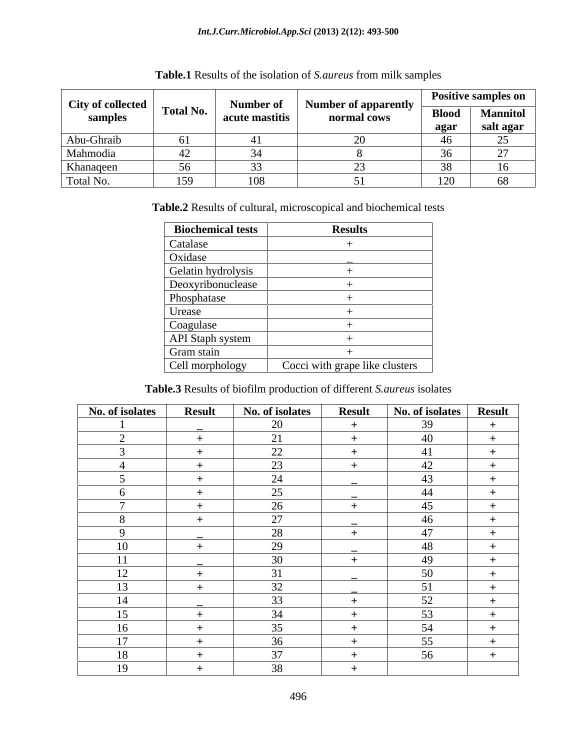| <b>City of collected</b> |                  | Number o             |                                            |                | <b>Positive samples on</b> |
|--------------------------|------------------|----------------------|--------------------------------------------|----------------|----------------------------|
| samples                  | <b>Total No.</b> | 01<br>acute mastitis | <b>Number of apparently</b><br>normal cows | <b>Blood</b>   | <b>Mannitol</b>            |
|                          |                  |                      |                                            | agar           | salt agar                  |
| Abu-Ghraib               |                  |                      |                                            | 40             |                            |
| Mahmodia                 | ┱∠               |                      |                                            |                |                            |
| Khanaqeen                |                  |                      |                                            | - - - -        |                            |
| Total No.                | $\sim$<br>1 J Z  | 108                  |                                            | 100<br>$1 - 0$ | υo                         |

| Table.1 Results of the isolation of S. aureus from milk samples |  |
|-----------------------------------------------------------------|--|
|                                                                 |  |

**Table.2** Results of cultural, microscopical and biochemical tests

| Biochemical tests  | <b>Results</b>                 |
|--------------------|--------------------------------|
| Catalase           |                                |
| Oxidase            |                                |
| Gelatin hydrolysis |                                |
| Deoxyribonuclease  |                                |
| Phosphatase        |                                |
| Urease             |                                |
| Coagulase          |                                |
| API Staph system   |                                |
| Gram stain         |                                |
| Cell morphology    | Cocci with grape like clusters |

**Table.3** Results of biofilm production of different *S.aureus* isolates

| No. of isolates | <b>Result</b> | No. of isolates | <b>Result</b> | No. of isolates | <b>Result</b> |
|-----------------|---------------|-----------------|---------------|-----------------|---------------|
|                 |               | 20              | <u>+</u>      | 39              | $+$           |
|                 |               | 21              | - 4           | 40              | $+$           |
|                 |               | 22              | $^+$          | 41              | $+$           |
|                 |               | 23              | - 4           | 42              | $+$           |
|                 |               | 24              |               | 43              | $+$           |
|                 |               | 25              |               | 44              | $+$           |
|                 | ÷             | 26              | $+$           | 45              | $+$           |
|                 |               | 27              |               | 46              | $+$           |
| $\Omega$        |               | 28              | - +           | 47              | $+$           |
| 10              |               | 29              |               | 48              | $+$           |
| 11              |               | 30              |               | 49              | $+$           |
| 12              |               | 31              |               | 50              | $+$           |
| 13              | $+$           | 32              |               | 51              | $+$           |
| 14              |               | 33              |               | 52              | $+$           |
| 15              |               | 34              |               | 53              | $+$           |
| 16              |               | 35              |               | 54              | $+$           |
| 17              |               | 36              |               | 55              | $+$           |
| 18              |               | 37              |               | 56              | $+$           |
| 19              |               | 38              |               |                 |               |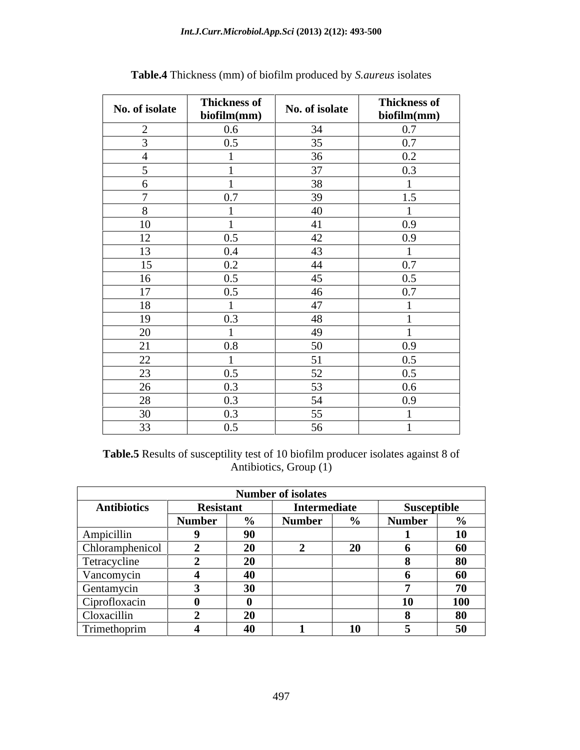| No. of isolate  | <b>Thickness of</b><br>biofilm(mm) | No. of isolate  | <b>Thickness of</b><br>biofilm(mm) |
|-----------------|------------------------------------|-----------------|------------------------------------|
| 2               | 0.6                                | 34              | 0.7                                |
| $\overline{3}$  | 0.5                                | 35              | 0.7                                |
| $\overline{4}$  |                                    | 36              | 0.2                                |
| $\leq$          |                                    | 37              | 0.3                                |
| 6               |                                    | 38              |                                    |
| $\mathbf{\tau}$ | 0.7                                | 39              | 1.5                                |
| 8               |                                    | 40              |                                    |
| 10              |                                    | 41              | 0.9                                |
| 12              | 0.5                                | 42              | 0.9                                |
| 13              | 0.4                                | 43              |                                    |
| 15              | 0.2                                | 44              | 0.7                                |
| 16              | 0.5                                | 45              | 0.5                                |
| 17              | 0.5                                | 46              | 0.7                                |
| 18              |                                    | 47              |                                    |
| 19              | 0.3                                | 48              |                                    |
| 20              |                                    | 49              |                                    |
| 21              | 0.8                                | 50              | 0.9                                |
| 22              |                                    | 51              | 0.5                                |
| 23              | 0.5                                | 52              | 0.5                                |
| 26              | 0.3                                | $\overline{53}$ | $0.6\,$                            |
| 28              | 0.3                                | 54              | 0.9                                |
| 30              | 0.3                                | 55              |                                    |
| 33              | 0.5                                | 56              |                                    |

**Table.4** Thickness (mm) of biofilm produced by *S.aureus* isolates

**Table.5** Results of susceptility test of 10 biofilm producer isolates against 8 of Antibiotics, Group (1)

|                     |                                                 |                                                     | <b>Number of isolates</b> |                          |             |            |
|---------------------|-------------------------------------------------|-----------------------------------------------------|---------------------------|--------------------------|-------------|------------|
| <b>Antibiotics</b>  | <b>Resistant</b>                                |                                                     | Intermediate              |                          | Susceptible |            |
|                     | Number                                          |                                                     |                           | $\overline{\phantom{a}}$ | Number      |            |
| Ampicillin          |                                                 | 90                                                  |                           |                          |             | 10         |
| Chloramphen.        |                                                 | $\overline{\phantom{a}}$                            |                           |                          |             | .60        |
| <b>Tetracycline</b> |                                                 | $\overline{\phantom{a}}$                            |                           |                          |             |            |
| Vancomycin          |                                                 |                                                     |                           |                          |             |            |
| Gentamycn.          |                                                 | $\mathbf{a}$<br>-9V                                 |                           |                          |             |            |
| Ciprofloxacin       |                                                 |                                                     |                           |                          |             | <b>100</b> |
| $C$ loxacillin      |                                                 | ∠υ                                                  |                           |                          |             |            |
| Trimethoprim        | the contract of the contract of the contract of | and the contract of the contract of the contract of |                           |                          |             |            |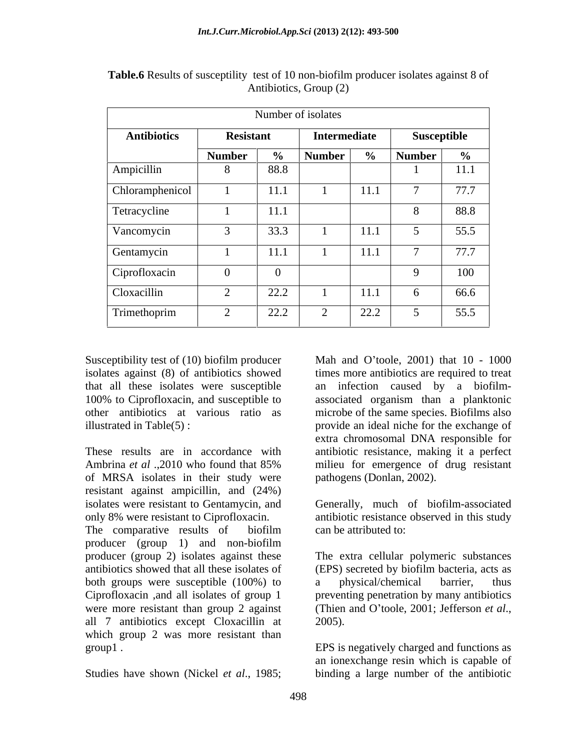|                                                                                          |               | Number of isolates |               |                   |               |             |
|------------------------------------------------------------------------------------------|---------------|--------------------|---------------|-------------------|---------------|-------------|
| <b>Antibiotics</b>                                                                       |               | <b>Resistant</b>   | Intermediate  |                   | Susceptible   |             |
|                                                                                          | <b>Number</b> |                    | $\%$   Number |                   | $\%$   Number |             |
| Ampicillin                                                                               |               | 88.8               |               |                   |               | 111<br>11.1 |
| Chloramphenicol                                                                          |               | $\vert$ 11.1       |               | $\overline{11.1}$ |               | 77.7        |
| Tetracycline                                                                             |               | 11.1               |               |                   |               | 88.8        |
| Vancomycin                                                                               |               | 33.3               |               | 11.1              |               | 55.5        |
| the control of the control of the control of the control of the control of<br>Gentamycin |               | 11.1               |               | 11.1              |               | 777<br>11.1 |
| Ciprofloxacin                                                                            |               |                    |               |                   |               | 100         |
| Cloxacillin                                                                              |               | 22.2               |               | 11.1              |               | 66.6        |
| Trimethoprim                                                                             |               | 22.2               |               | 22.2              |               | 55.5        |

**Table.6** Results of susceptility test of 10 non-biofilm producer isolates against 8 of Antibiotics, Group (2)

of MRSA isolates in their study were resistant against ampicillin, and (24%) isolates were resistant to Gentamycin, and Generally, much of biofilm-associated

The comparative results of biofilm can be attributed to: producer (group 1) and non-biofilm producer (group 2) isolates against these antibiotics showed that all these isolates of (EPS) secreted by biofilm bacteria, acts as both groups were susceptible (100%) to a physical/chemical barrier, thus Ciprofloxacin ,and all isolates of group 1 were more resistant than group 2 against (Thien and O'toole, 2001; Jefferson et al., all 7 antibiotics except Cloxacillin at which group 2 was more resistant than

Susceptibility test of (10) biofilm producer Mah and O'toole, 2001) that 10 - 1000 isolates against (8) of antibiotics showed times more antibiotics are required to treat that all these isolates were susceptible an infection caused by a biofilm- 100% to Ciprofloxacin, and susceptible to associated organism than a planktonic other antibiotics at various ratio as microbe of the same species. Biofilms also illustrated in Table(5) : provide an ideal niche for the exchange of These results are in accordance with antibiotic resistance, making it a perfect Ambrina *et al* .,2010 who found that 85% Mah and O'toole, 2001) that 10 - 1000 extra chromosomal DNA responsible for milieu for emergence of drug resistant pathogens (Donlan, 2002).

only 8% were resistant to Ciprofloxacin. antibiotic resistance observed in this study can be attributed to:

> The extra cellular polymeric substances a physical/chemical barrier, thus preventing penetration by many antibiotics (Thien and O'toole, 2001; Jefferson *et al.*, 2005).

group1 . EPS is negatively charged and functions as Studies have shown (Nickel *et al*., 1985; binding a large number of the antibiotican ionexchange resin which is capable of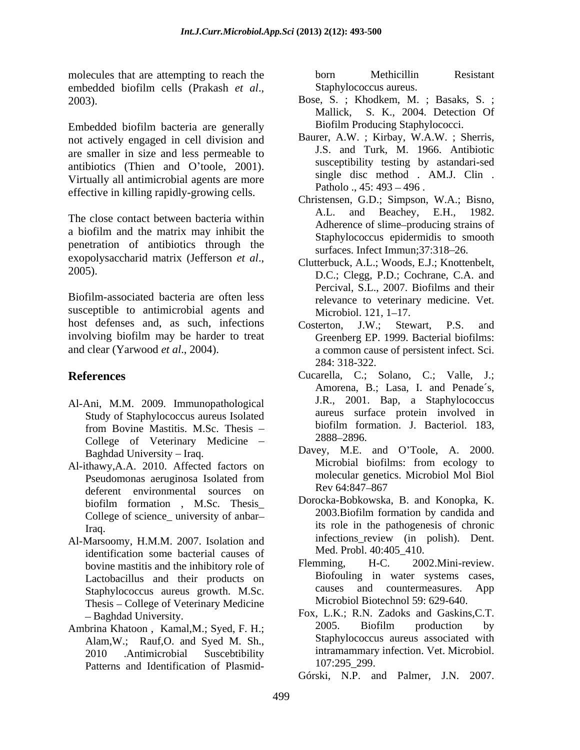molecules that are attempting to reach the born Methicillin Resistant embedded biofilm cells (Prakash *et al.*, Staphylococcus aureus.<br>2003). Bose, S. ; Khodkem, M. ; Basaks, S. ;

Embedded biofilm bacteria are generally not actively engaged in cell division and are smaller in size and less permeable to antibiotics (Thien and O'toole, 2001). Virtually all antimicrobial agents are more effective in killing rapidly-growing cells.

The close contact between bacteria within  $A.L.$  and a biofilm and the matrix may inhibit the penetration of antibiotics through the exopolysaccharid matrix (Jefferson *et al.*,<br>2005).<br> $DC \cdot Cleog \, PD \cdot Cochrane \, CA \, and \, BC \cdot C \cdot (1 - BC \cdot CO)$ 

Biofilm-associated bacteria are often less susceptible to antimicrobial agents and Microbiol. 121, 1–17. host defenses and, as such, infections Costerton, J.W.; Stewart, P.S. and involving biofilm may be harder to treat

- Al-Ani, M.M. 2009. Immunopathological College of Veterinary Medicine - 2888-2896.
- deferent environmental sources on Rev 64:847-867 College of science\_ university of anbar
- Al-Marsoomy, H.M.M. 2007. Isolation and identification some bacterial causes of Med. Probl. 40:40<br>hovine mastitis and the inhibitory role of Flemming, H-C. bovine mastitis and the inhibitory role of Staphylococcus aureus growth. M.Sc. Thesis - College of Veterinary Medicine
- Alam,W.; Rauf,O. and Syed M. Sh., Patterns and Identification of Plasmid-<br>107:295\_299.

born Methicillin Resistant Staphylococcus aureus.

- Bose, S. ; Khodkem, M. ; Basaks, S. ; Mallick, S. K., 2004. Detection Of Biofilm Producing Staphylococci.
- Baurer, A.W. ; Kirbay, W.A.W. ; Sherris, J.S. and Turk, M. 1966. Antibiotic susceptibility testing by astandari-sed single disc method . AM.J. Clin . Patholo .,  $45: 493 - 496$ .
- Christensen, G.D.; Simpson, W.A.; Bisno, Beachey, E.H., 1982. Adherence of slime-producing strains of Staphylococcus epidermidis to smooth surfaces. Infect Immun; 37:318-26.
- Clutterbuck, A.L.; Woods, E.J.; Knottenbelt, D.C.; Clegg, P.D.; Cochrane, C.A. and Percival, S.L., 2007. Biofilms and their relevance to veterinary medicine. Vet. Microbiol. 121, 1–17.
- and clear (Yarwood *et al.*, 2004). a common cause of persistent infect. Sci. Costerton, J.W.; Stewart, P.S. and Greenberg EP. 1999. Bacterial biofilms: 284: 318-322.
- **References** Cucarella, C.; Solano, C.; Valle, J.; Study of Staphylococcus aureus Isolated aureus surface protein involved in<br>
from Bovine Mastitis M.Sc. Thesis biofilm formation. J. Bacteriol. 183. from Bovine Mastitis. M.Sc. Thesis – biology buttled and the Bacteriol. 183, Amorena, B.; Lasa, I. and Penade´s, J.R., 2001. Bap, a Staphylococcus aureus surface protein involved in biofilm formation. J. Bacteriol. 183, 2888 2896.
- Baghdad University Iraq. Davey, M.E. and O'Toole, A. 2000. Al-ithawy, A.A. 2010. Affected factors on Microbial biofilms: from ecology to Pseudomonas aeruginosa Isolated from molecular genetics. Microbiol Mol Biol Microbial biofilms: from ecology to molecular genetics. Microbiol Mol Biol Rev 64:847–867
	- biofilm formation, M.Sc. Thesis\_ Dorocka-Bobkowska, B. and Konopka, K. Iraq.  $\overline{\phantom{a}}$   $\overline{\phantom{a}}$  its role in the pathogenesis of chronic Dorocka-Bobkowska, B. and Konopka, K. 2003.Biofilm formation by candida and infections review (in polish). Dent. Med. Probl. 40:405\_410.
	- Lactobacillus and their products on the Biotouling in water systems cases,<br>Staphylococcus aureus growth M.Sc causes and countermeasures. App 2002.Mini-review. Biofouling in water systems cases, causes and countermeasures. Microbiol Biotechnol 59: 629-640.
- Baghdad University. Fox, L.K.; R.N. Zadoks and Gaskins,C.T. Ambrina Khatoon, Kamal,M.; Syed, F. H.; 2005. Biofilm production by 2010 .Antimicrobial Suscebtibility **Intramammary Intection.** Vet. Microbiol. 2005. Biofilm production by Staphylococcus aureus associated with intramammary infection. Vet. Microbiol. 107:295\_299.
	- Górski, N.P. and Palmer, J.N. 2007.